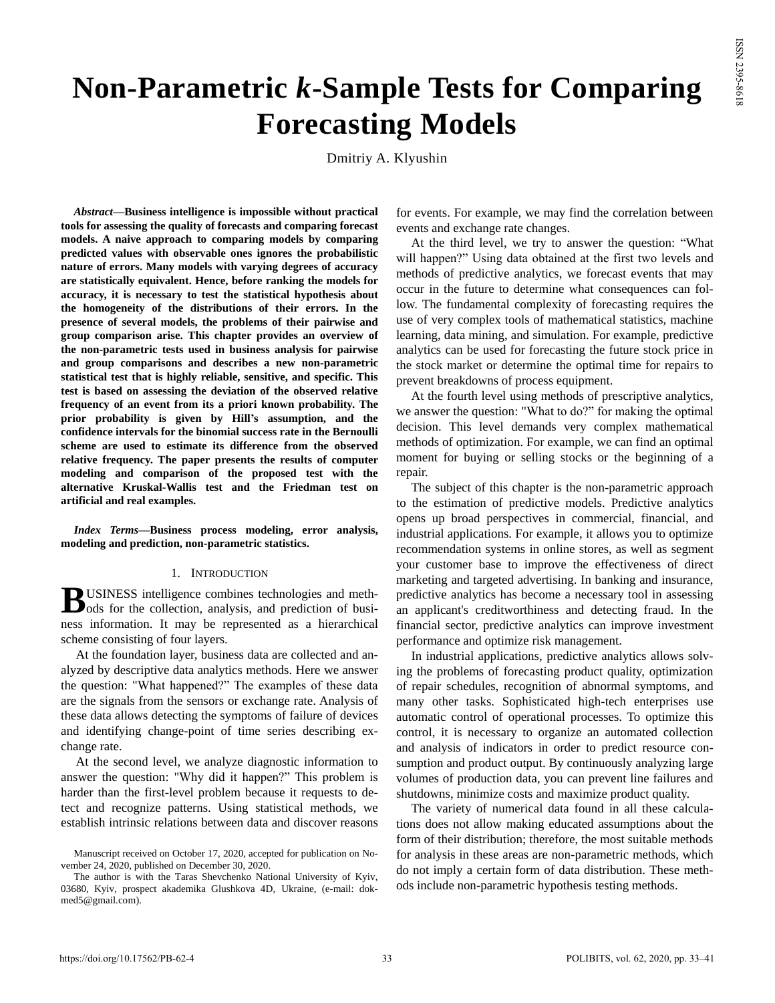# **Non-Parametric** *k***-Sample Tests for Comparing Forecasting Models**

Dmitriy A. Klyushin

*Abstract***—Business intelligence is impossible without practical tools for assessing the quality of forecasts and comparing forecast models. A naive approach to comparing models by comparing predicted values with observable ones ignores the probabilistic nature of errors. Many models with varying degrees of accuracy are statistically equivalent. Hence, before ranking the models for accuracy, it is necessary to test the statistical hypothesis about the homogeneity of the distributions of their errors. In the presence of several models, the problems of their pairwise and group comparison arise. This chapter provides an overview of the non-parametric tests used in business analysis for pairwise and group comparisons and describes a new non-parametric statistical test that is highly reliable, sensitive, and specific. This test is based on assessing the deviation of the observed relative frequency of an event from its a priori known probability. The prior probability is given by Hill's assumption, and the confidence intervals for the binomial success rate in the Bernoulli scheme are used to estimate its difference from the observed relative frequency. The paper presents the results of computer modeling and comparison of the proposed test with the alternative Kruskal-Wallis test and the Friedman test on artificial and real examples.**

*Index Terms***—Business process modeling, error analysis, modeling and prediction, non-parametric statistics.**

#### 1. INTRODUCTION

USINESS intelligence combines technologies and meth-**B**USINESS intelligence combines technologies and methods for the collection, analysis, and prediction of business information. It may be represented as a hierarchical scheme consisting of four layers.

At the foundation layer, business data are collected and analyzed by descriptive data analytics methods. Here we answer the question: "What happened?" The examples of these data are the signals from the sensors or exchange rate. Analysis of these data allows detecting the symptoms of failure of devices and identifying change-point of time series describing exchange rate.

At the second level, we analyze diagnostic information to answer the question: "Why did it happen?" This problem is harder than the first-level problem because it requests to detect and recognize patterns. Using statistical methods, we establish intrinsic relations between data and discover reasons

for events. For example, we may find the correlation between events and exchange rate changes.

At the third level, we try to answer the question: "What will happen?" Using data obtained at the first two levels and methods of predictive analytics, we forecast events that may occur in the future to determine what consequences can follow. The fundamental complexity of forecasting requires the use of very complex tools of mathematical statistics, machine learning, data mining, and simulation. For example, predictive analytics can be used for forecasting the future stock price in the stock market or determine the optimal time for repairs to prevent breakdowns of process equipment.

At the fourth level using methods of prescriptive analytics, we answer the question: "What to do?" for making the optimal decision. This level demands very complex mathematical methods of optimization. For example, we can find an optimal moment for buying or selling stocks or the beginning of a repair.

The subject of this chapter is the non-parametric approach to the estimation of predictive models. Predictive analytics opens up broad perspectives in commercial, financial, and industrial applications. For example, it allows you to optimize recommendation systems in online stores, as well as segment your customer base to improve the effectiveness of direct marketing and targeted advertising. In banking and insurance, predictive analytics has become a necessary tool in assessing an applicant's creditworthiness and detecting fraud. In the financial sector, predictive analytics can improve investment performance and optimize risk management.

In industrial applications, predictive analytics allows solving the problems of forecasting product quality, optimization of repair schedules, recognition of abnormal symptoms, and many other tasks. Sophisticated high-tech enterprises use automatic control of operational processes. To optimize this control, it is necessary to organize an automated collection and analysis of indicators in order to predict resource consumption and product output. By continuously analyzing large volumes of production data, you can prevent line failures and shutdowns, minimize costs and maximize product quality.

The variety of numerical data found in all these calculations does not allow making educated assumptions about the form of their distribution; therefore, the most suitable methods for analysis in these areas are non-parametric methods, which do not imply a certain form of data distribution. These methods include non-parametric hypothesis testing methods.

Manuscript received on October 17, 2020, accepted for publication on November 24, 2020, published on December 30, 2020.

The author is with the Taras Shevchenko National University of Kyiv, 03680, Kyiv, prospect akademika Glushkova 4D, Ukraine, (e-mail: dokmed5@gmail.com).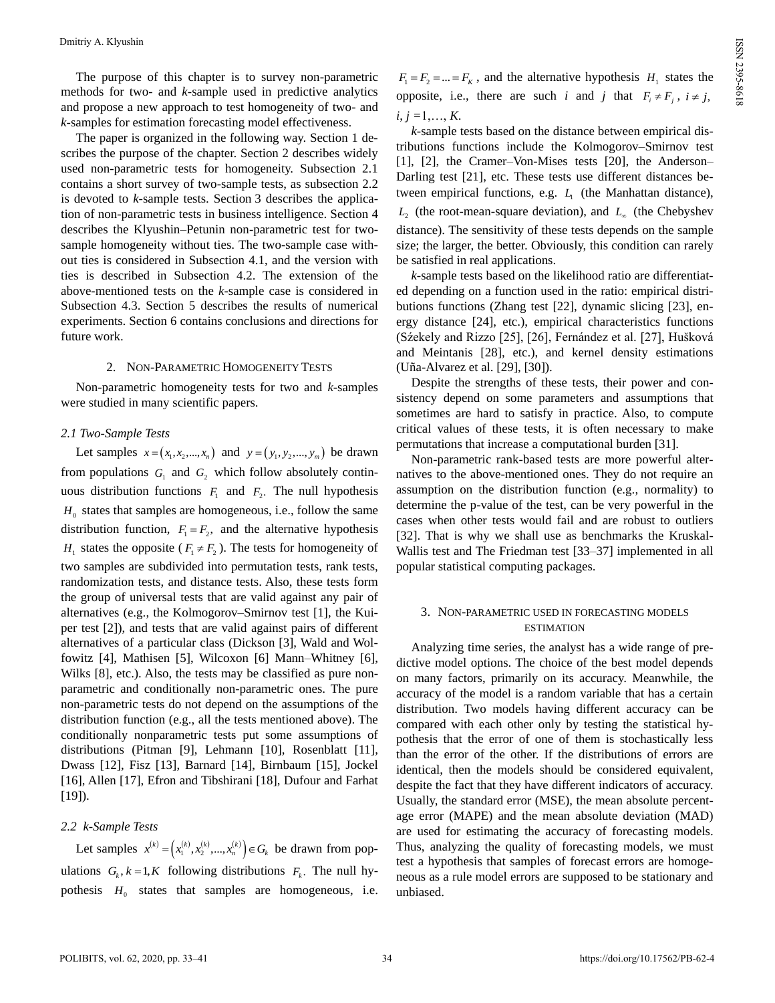The purpose of this chapter is to survey non-parametric methods for two- and *k*-sample used in predictive analytics and propose a new approach to test homogeneity of two- and *k*-samples for estimation forecasting model effectiveness.

The paper is organized in the following way. Section 1 describes the purpose of the chapter. Section 2 describes widely used non-parametric tests for homogeneity. Subsection 2.1 contains a short survey of two-sample tests, as subsection 2.2 is devoted to *k*-sample tests. Section 3 describes the application of non-parametric tests in business intelligence. Section 4 describes the Klyushin–Petunin non-parametric test for twosample homogeneity without ties. The two-sample case without ties is considered in Subsection 4.1, and the version with ties is described in Subsection 4.2. The extension of the above-mentioned tests on the *k*-sample case is considered in Subsection 4.3. Section 5 describes the results of numerical experiments. Section 6 contains conclusions and directions for future work.

## 2. NON-PARAMETRIC HOMOGENEITY TESTS

Non-parametric homogeneity tests for two and *k-*samples were studied in many scientific papers.

# *2.1 Two-Sample Tests*

Let samples  $x = (x_1, x_2, ..., x_n)$  and  $y = (y_1, y_2, ..., y_m)$  be drawn from populations  $G_1$  and  $G_2$  which follow absolutely continuous distribution functions  $F_1$  and  $F_2$ . The null hypothesis  $H<sub>0</sub>$  states that samples are homogeneous, i.e., follow the same distribution function,  $F_1 = F_2$ , and the alternative hypothesis *H*<sub>1</sub> states the opposite ( $F_1 \neq F_2$ ). The tests for homogeneity of two samples are subdivided into permutation tests, rank tests, randomization tests, and distance tests. Also, these tests form the group of universal tests that are valid against any pair of alternatives (e.g., the Kolmogorov–Smirnov test [1], the Kuiper test [2]), and tests that are valid against pairs of different alternatives of a particular class (Dickson [3], Wald and Wolfowitz [4], Mathisen [5], Wilcoxon [6] Mann–Whitney [6], Wilks [8], etc.). Also, the tests may be classified as pure nonparametric and conditionally non-parametric ones. The pure non-parametric tests do not depend on the assumptions of the distribution function (e.g., all the tests mentioned above). The conditionally nonparametric tests put some assumptions of distributions (Pitman [9], Lehmann [10], Rosenblatt [11], Dwass [12], Fisz [13], Barnard [14], Birnbaum [15], Jockel [16], Allen [17], Efron and Tibshirani [18], Dufour and Farhat [19]).

# *2.2 k-Sample Tests*

Let samples  $x^{(k)} = (x_1^{(k)}, x_2^{(k)}, ..., x_n^{(k)}) \in G_k$  be drawn from populations  $G_k$ ,  $k = 1, K$  following distributions  $F_k$ . The null hypothesis  $H_0$  states that samples are homogeneous, i.e.

 $F_1 = F_2 = ... = F_K$ , and the alternative hypothesis  $H_1$  states the opposite, i.e., there are such *i* and *j* that  $F_i \neq F_j$ ,  $i \neq j$ ,  $i, i = 1, \ldots, K$ .

*k*-sample tests based on the distance between empirical distributions functions include the Kolmogorov–Smirnov test [1], [2], the Cramer–Von-Mises tests [20], the Anderson– Darling test [21], etc. These tests use different distances between empirical functions, e.g.  $L<sub>1</sub>$  (the Manhattan distance),  $L_2$  (the root-mean-square deviation), and  $L_{\infty}$  (the Chebyshev distance). The sensitivity of these tests depends on the sample size; the larger, the better. Obviously, this condition can rarely be satisfied in real applications.

*k*-sample tests based on the likelihood ratio are differentiated depending on a function used in the ratio: empirical distributions functions (Zhang test [22], dynamic slicing [23], energy distance [24], etc.), empirical characteristics functions (Sźekely and Rizzo [25], [26], Fernández et al. [27], Hušková and Meintanis [28], etc.), and kernel density estimations (Uña-Alvarez et al. [29], [30]).

Despite the strengths of these tests, their power and consistency depend on some parameters and assumptions that sometimes are hard to satisfy in practice. Also, to compute critical values of these tests, it is often necessary to make permutations that increase a computational burden [31].

Non-parametric rank-based tests are more powerful alternatives to the above-mentioned ones. They do not require an assumption on the distribution function (e.g., normality) to determine the p-value of the test, can be very powerful in the cases when other tests would fail and are robust to outliers [32]. That is why we shall use as benchmarks the Kruskal-Wallis test and The Friedman test [33–37] implemented in all popular statistical computing packages.

# 3. NON-PARAMETRIC USED IN FORECASTING MODELS **ESTIMATION**

Analyzing time series, the analyst has a wide range of predictive model options. The choice of the best model depends on many factors, primarily on its accuracy. Meanwhile, the accuracy of the model is a random variable that has a certain distribution. Two models having different accuracy can be compared with each other only by testing the statistical hypothesis that the error of one of them is stochastically less than the error of the other. If the distributions of errors are identical, then the models should be considered equivalent, despite the fact that they have different indicators of accuracy. Usually, the standard error (MSE), the mean absolute percentage error (MAPE) and the mean absolute deviation (MAD) are used for estimating the accuracy of forecasting models. Thus, analyzing the quality of forecasting models, we must test a hypothesis that samples of forecast errors are homogeneous as a rule model errors are supposed to be stationary and unbiased.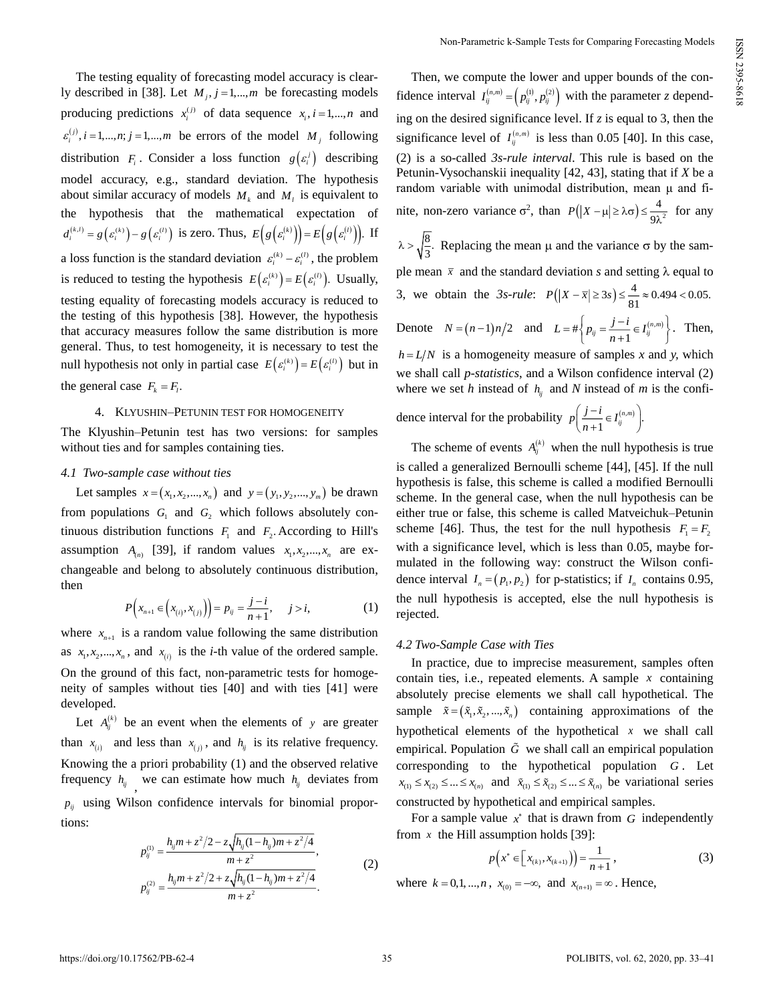The testing equality of forecasting model accuracy is clearly described in [38]. Let  $M_j$ ,  $j = 1,...,m$  be forecasting models producing predictions  $x_i^{(j)}$  of data sequence  $x_i$ ,  $i = 1,...,n$  and  $\varepsilon_i^{(j)}$ ,  $i = 1,...,n$ ;  $j = 1,...,m$  be errors of the model  $M_j$  following distribution  $F_i$ . Consider a loss function  $g\left(\varepsilon_i^j\right)$  describing model accuracy, e.g., standard deviation. The hypothesis about similar accuracy of models  $M_k$  and  $M_l$  is equivalent to the hypothesis that the mathematical expectation of  $d_i^{(k,l)} = g(\varepsilon_i^{(k)}) - g(\varepsilon_i^{(l)})$  is zero. Thus,  $E(g(\varepsilon_i^{(k)})) = E(g(\varepsilon_i^{(l)}))$ . If a loss function is the standard deviation  $\varepsilon_i^{(k)} - \varepsilon_i^{(l)}$ , the problem is reduced to testing the hypothesis  $E(e_i^{(k)}) = E(e_i^{(l)})$ . Usually, testing equality of forecasting models accuracy is reduced to the testing of this hypothesis [38]. However, the hypothesis that accuracy measures follow the same distribution is more general. Thus, to test homogeneity, it is necessary to test the null hypothesis not only in partial case  $E(e_i^{(k)}) = E(e_i^{(l)})$  but in the general case  $F_k = F_l$ .

## 4. KLYUSHIN–PETUNIN TEST FOR HOMOGENEITY

The Klyushin–Petunin test has two versions: for samples without ties and for samples containing ties.

#### *4.1 Two-sample case without ties*

Let samples  $x = (x_1, x_2, ..., x_n)$  and  $y = (y_1, y_2, ..., y_m)$  be drawn from populations  $G_1$  and  $G_2$  which follows absolutely continuous distribution functions  $F_1$  and  $F_2$ . According to Hill's assumption  $A_{(n)}$  [39], if random values  $x_1, x_2, ..., x_n$  are exchangeable and belong to absolutely continuous distribution, then

$$
P(x_{n+1} \in (x_{(i)}, x_{(j)})\big) = p_{ij} = \frac{j-i}{n+1}, \quad j > i,
$$
 (1)

where  $x_{n+1}$  is a random value following the same distribution as  $x_1, x_2, \ldots, x_n$ , and  $x_{(i)}$  is the *i*-th value of the ordered sample. On the ground of this fact, non-parametric tests for homogeneity of samples without ties [40] and with ties [41] were developed.

Let  $A_{ij}^{(k)}$  be an event when the elements of y are greater than  $x_{(i)}$  and less than  $x_{(j)}$ , and  $h_{ij}$  is its relative frequency. Knowing the a priori probability (1) and the observed relative frequency  $h_{ij}$ , we can estimate how much  $h_{ij}$  deviates from  $p_{ij}$  using Wilson confidence intervals for binomial proportions:

$$
p_{ij}^{(1)} = \frac{h_{ij}m + z^2/2 - z\sqrt{h_{ij}(1 - h_{ij})m + z^2/4}}{m + z^2},
$$
  
\n
$$
p_{ij}^{(2)} = \frac{h_{ij}m + z^2/2 + z\sqrt{h_{ij}(1 - h_{ij})m + z^2/4}}{m + z^2}.
$$
\n(2)

Then, we compute the lower and upper bounds of the confidence interval  $I_{ij}^{(n,m)} = (p_{ij}^{(1)}, p_{ij}^{(2)})$  with the parameter *z* depending on the desired significance level. If *z* is equal to 3, then the significance level of  $I_{ij}^{(n,m)}$  is less than 0.05 [40]. In this case, (2) is a so-called *3s-rule interval*. This rule is based on the Petunin-Vysochanskii inequality [42, 43], stating that if *X* be a random variable with unimodal distribution, mean μ and finite, non-zero variance  $\sigma^2$ , than  $P(|X-\mu|\geq \lambda \sigma) \leq \frac{4}{\sigma^2}$  $P(|X - \mu| \ge \lambda \sigma) \le \frac{1}{9\lambda^2}$  for any  $\lambda > \sqrt{\frac{8}{3}}$ . Replacing the mean  $\mu$  and the variance  $\sigma$  by the sample mean  $\bar{x}$  and the standard deviation *s* and setting  $\lambda$  equal to 3, we obtain the 3s-rule:  $P(|X - \bar{x}| \ge 3s) \le \frac{4}{81} \approx 0.494 < 0.05$ . Denote  $N = (n-1)n/2$  and  $L = #\left\{p_{ij} = \frac{j-i}{n+1} \in I_{ij}^{(n,m)}\right\}$  $L = # \left\{ p_{ij} = \frac{j-i}{n+1} \in I_{ij}^{(n,m)} \right\}$  $=$  # $\left\{ p_{ij} = \frac{j-i}{n+1} \in I_{ij}^{(n,m)} \right\}$ . Then,  $h = L/N$  is a homogeneity measure of samples *x* and *y*, which we shall call *p*-*statistics*, and a Wilson confidence interval (2) where we set *h* instead of  $h_{ij}$  and *N* instead of *m* is the confi-

dence interval for the probability  $p\left(\frac{f-t}{n+1} \in I_{ij}^{(n,m)}\right)$ .  $p\left(\frac{j-i}{n+1}\in I_{ij}^{(n,m)}\right)$  $\left(\frac{j-i}{n+1}\in I_{ij}^{(n,m)}\right)$ 

The scheme of events  $A_{ij}^{(k)}$  when the null hypothesis is true is called a generalized Bernoulli scheme [44], [45]. If the null hypothesis is false, this scheme is called a modified Bernoulli scheme. In the general case, when the null hypothesis can be either true or false, this scheme is called Matveichuk–Petunin scheme [46]. Thus, the test for the null hypothesis  $F_1 = F_2$ with a significance level, which is less than 0.05, maybe formulated in the following way: construct the Wilson confidence interval  $I_n = (p_1, p_2)$  for p-statistics; if  $I_n$  contains 0.95, the null hypothesis is accepted, else the null hypothesis is rejected.

# *4.2 Two-Sample Case with Ties*

In practice, due to imprecise measurement, samples often contain ties, i.e., repeated elements. A sample *x* containing absolutely precise elements we shall call hypothetical. The sample  $\tilde{x} = (\tilde{x}_1, \tilde{x}_2, ..., \tilde{x}_n)$  containing approximations of the hypothetical elements of the hypothetical *x* we shall call empirical. Population  $\tilde{G}$  we shall call an empirical population corresponding to the hypothetical population *G* . Let  $x_{(1)} \le x_{(2)} \le \dots \le x_{(n)}$  and  $\tilde{x}_{(1)} \le \tilde{x}_{(2)} \le \dots \le \tilde{x}_{(n)}$  be variational series constructed by hypothetical and empirical samples.

For a sample value  $x^*$  that is drawn from  $G$  independently from  $x$  the Hill assumption holds [39]:

$$
p(x^* \in [x_{(k)}, x_{(k+1)}) = \frac{1}{n+1},
$$
\n(3)

where  $k = 0, 1, ..., n$ ,  $x_{(0)} = -\infty$ , and  $x_{(n+1)} = \infty$ . Hence,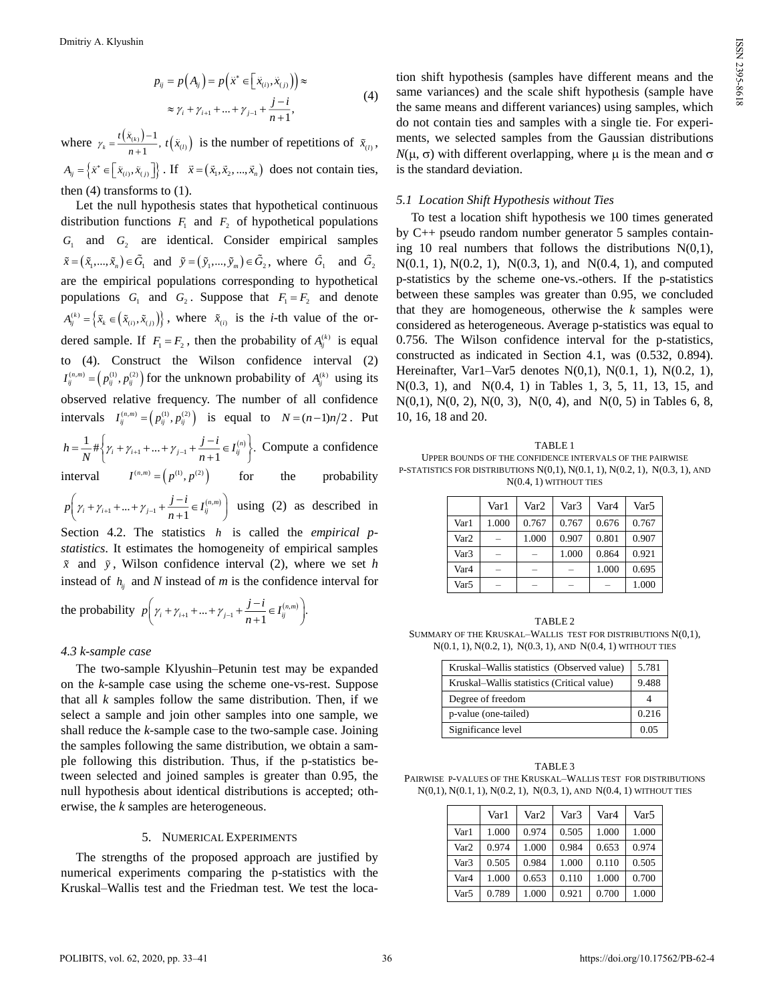$$
p_{ij} = p(A_{ij}) = p\left(\tilde{x}^* \in \left[\tilde{x}_{(i)}, \tilde{x}_{(j)}\right]\right) \approx
$$
  
 
$$
\approx \gamma_i + \gamma_{i+1} + \dots + \gamma_{j-1} + \frac{j-i}{n+1},
$$
 (4)

where  $\gamma_k = \frac{t(\tilde{x}_{(k)}) - 1}{n + 1}$ ,  $k_k = \frac{1 - \sum_{k=1}^{n} k_k}{k}$ *t x n*  $\gamma_k = \frac{f(x_{(k)})-1}{n+1}$ ,  $t(\tilde{x}_{(l)})$  is the number of repetitions of  $\tilde{x}_{(l)}$ ,  $A_{ij} = \left\{ \tilde{x}^* \in \left[ \tilde{x}_{(i)}, \tilde{x}_{(j)} \right] \right\}$ . If  $\tilde{x} = \left( \tilde{x}_1, \tilde{x}_2, ..., \tilde{x}_n \right)$  does not contain ties, then  $(4)$  transforms to  $(1)$ .

Let the null hypothesis states that hypothetical continuous distribution functions  $F_1$  and  $F_2$  of hypothetical populations  $G_1$  and  $G_2$  are identical. Consider empirical samples  $\tilde{x} = (\tilde{x}_1, ..., \tilde{x}_n) \in G_1$  and  $\tilde{y} = (\tilde{y}_1, ..., \tilde{y}_m) \in G_2$ , where  $G_1$  and  $G_2$ are the empirical populations corresponding to hypothetical populations  $G_1$  and  $G_2$ . Suppose that  $F_1 = F_2$  and denote  $A_{ij}^{(k)} = \left\{ \tilde{x}_k \in (\tilde{x}_{(i)}, \tilde{x}_{(j)}) \right\}$ , where  $\tilde{x}_{(i)}$  is the *i*-th value of the ordered sample. If  $F_1 = F_2$ , then the probability of  $A_{ij}^{(k)}$  is equal to (4). Construct the Wilson confidence interval (2)  $I_{ij}^{(n,m)} = (p_{ij}^{(1)}, p_{ij}^{(2)})$  for the unknown probability of  $A_{ij}^{(k)}$  using its observed relative frequency. The number of all confidence intervals  $I_{ij}^{(n,m)} = (p_{ij}^{(1)}, p_{ij}^{(2)})$  is equal to  $N = (n-1)n/2$ . Put  $1 + ... + \gamma_{j-1} + \frac{J-i}{\cdot} \in I_{ij}^{(n)}$  $\frac{1}{N} \# \left\{ \gamma_i + \gamma_{i+1} + ... + \gamma_{j-1} + \frac{j-i}{n+1} \in I_{ij}^{(n)} \right\}.$  $h = \frac{1}{N} \# \left\{ \gamma_i + \gamma_{i+1} + ... + \gamma_{j-1} + \frac{j-i}{n+1} \in I_{ij}^{(n)} \right\}$  $=\frac{1}{N} \# \left\{ \gamma_i + \gamma_{i+1} + ... + \gamma_{j-1} + \frac{j-i}{n+1} \in I_{ij}^{(n)} \right\}.$  Compute a confidence interval  $I^{(n,m)} = (p^{(1)}, p^{(2)})$ for the probability  $_1 + ... + \gamma_{j-1} + \frac{J-i}{n+1} \in I_{ij}^{(n,m)}$  $p\left(\gamma_i + \gamma_{i+1} + ... + \gamma_{j-1} + \frac{j-i}{n+1} \in I_{ij}^{(n,m)}\right)$  using (2) as described in Section 4.2. The statistics *h* is called the *empirical p-*

*statistics*. It estimates the homogeneity of empirical samples  $\tilde{x}$  and  $\tilde{y}$ , Wilson confidence interval (2), where we set *h* instead of  $h_{ij}$  and *N* instead of *m* is the confidence interval for

the probability 
$$
p\left(\gamma_i + \gamma_{i+1} + ... + \gamma_{j-1} + \frac{j-i}{n+1} \in I_{ij}^{(n,m)}\right)
$$
.

# *4.3 k-sample case*

The two-sample Klyushin–Petunin test may be expanded on the *k*-sample case using the scheme one-vs-rest. Suppose that all *k* samples follow the same distribution. Then, if we select a sample and join other samples into one sample, we shall reduce the *k*-sample case to the two-sample case. Joining the samples following the same distribution, we obtain a sample following this distribution. Thus, if the p-statistics between selected and joined samples is greater than 0.95, the null hypothesis about identical distributions is accepted; otherwise, the *k* samples are heterogeneous.

#### 5. NUMERICAL EXPERIMENTS

The strengths of the proposed approach are justified by numerical experiments comparing the p-statistics with the Kruskal–Wallis test and the Friedman test. We test the loca-

tion shift hypothesis (samples have different means and the same variances) and the scale shift hypothesis (sample have the same means and different variances) using samples, which do not contain ties and samples with a single tie. For experiments, we selected samples from the Gaussian distributions  $N(\mu, \sigma)$  with different overlapping, where  $\mu$  is the mean and  $\sigma$ is the standard deviation.

#### *5.1 Location Shift Hypothesis without Ties*

To test a location shift hypothesis we 100 times generated by C++ pseudo random number generator 5 samples containing 10 real numbers that follows the distributions  $N(0,1)$ , N(0.1, 1), N(0.2, 1), N(0.3, 1), and N(0.4, 1), and computed p-statistics by the scheme one-vs.-others. If the p-statistics between these samples was greater than 0.95, we concluded that they are homogeneous, otherwise the *k* samples were considered as heterogeneous. Average p-statistics was equal to 0.756. The Wilson confidence interval for the p-statistics, constructed as indicated in Section 4.1, was (0.532, 0.894). Hereinafter, Var1–Var5 denotes N(0,1), N(0.1, 1), N(0.2, 1), N(0.3, 1), and N(0.4, 1) in Tables 1, 3, 5, 11, 13, 15, and N(0,1), N(0, 2), N(0, 3), N(0, 4), and N(0, 5) in Tables 6, 8, 10, 16, 18 and 20.

| TABLE 1                                                                                 |
|-----------------------------------------------------------------------------------------|
| UPPER BOUNDS OF THE CONFIDENCE INTERVALS OF THE PAIRWISE                                |
| P-STATISTICS FOR DISTRIBUTIONS $N(0,1)$ , $N(0.1, 1)$ , $N(0.2, 1)$ , $N(0.3, 1)$ , AND |
| $N(0.4, 1)$ without ties                                                                |

|                  | Var1  | Var2  | Var <sub>3</sub> | Var <sub>4</sub> | Var <sub>5</sub> |
|------------------|-------|-------|------------------|------------------|------------------|
| Var1             | 1.000 | 0.767 | 0.767            | 0.676            | 0.767            |
| Var <sub>2</sub> | -     | 1.000 | 0.907            | 0.801            | 0.907            |
| Var <sub>3</sub> | -     |       | 1.000            | 0.864            | 0.921            |
| Var <sub>4</sub> | -     |       |                  | 1.000            | 0.695            |
| Var5             |       |       |                  |                  | 1.000            |

TABLE 2 SUMMARY OF THE KRUSKAL–WALLIS TEST FOR DISTRIBUTIONS N(0,1), N(0.1, 1), N(0.2, 1), N(0.3, 1), AND N(0.4, 1) WITHOUT TIES

| Kruskal-Wallis statistics (Observed value) | 5.781 |
|--------------------------------------------|-------|
| Kruskal–Wallis statistics (Critical value) | 9.488 |
| Degree of freedom                          |       |
| p-value (one-tailed)                       | 0.216 |
| Significance level                         | 0.05  |

TABLE 3 PAIRWISE P-VALUES OF THE KRUSKAL–WALLIS TEST FOR DISTRIBUTIONS N(0,1), N(0.1, 1), N(0.2, 1), N(0.3, 1), AND N(0.4, 1) WITHOUT TIES

|                  | Var1  | Var2  | Var3  | Var4  | Var5  |
|------------------|-------|-------|-------|-------|-------|
| Var1             | 1.000 | 0.974 | 0.505 | 1.000 | 1.000 |
| Var <sub>2</sub> | 0.974 | 1.000 | 0.984 | 0.653 | 0.974 |
| Var3             | 0.505 | 0.984 | 1.000 | 0.110 | 0.505 |
| Var <sub>4</sub> | 1.000 | 0.653 | 0.110 | 1.000 | 0.700 |
| Var <sub>5</sub> | 0.789 | 1.000 | 0.921 | 0.700 | 1.000 |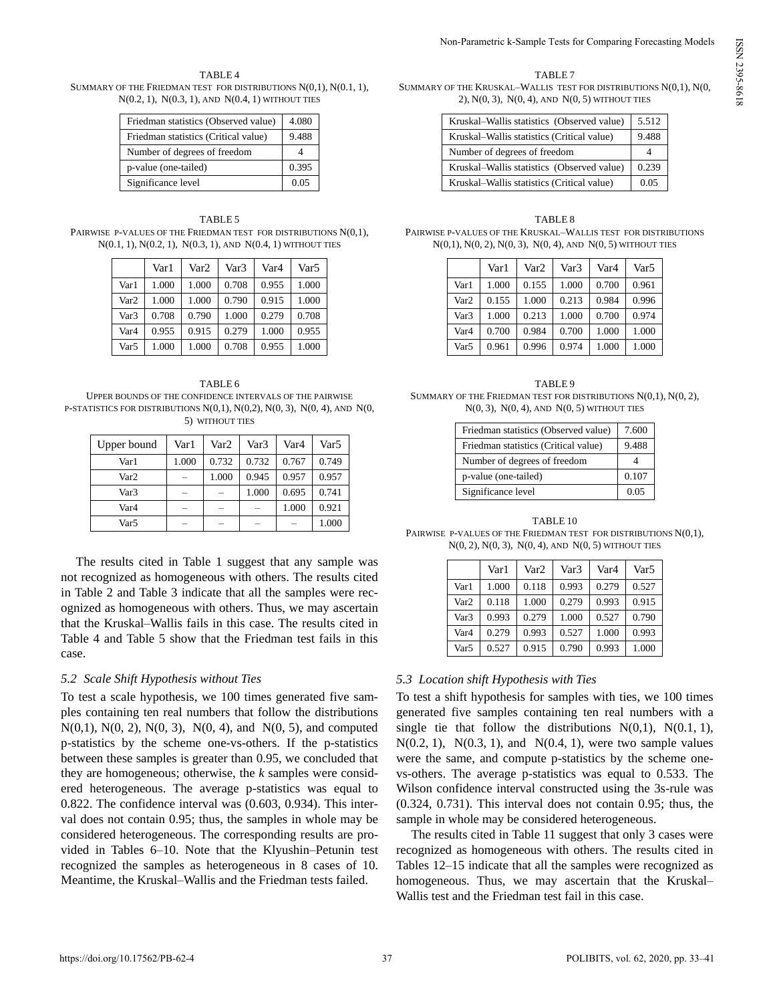#### TABLE 4 SUMMARY OF THE FRIEDMAN TEST FOR DISTRIBUTIONS N(0,1), N(0.1, 1), N(0.2, 1), N(0.3, 1), AND N(0.4, 1) WITHOUT TIES

| Friedman statistics (Observed value) | 4.080 |
|--------------------------------------|-------|
| Friedman statistics (Critical value) | 9.488 |
| Number of degrees of freedom         |       |
| p-value (one-tailed)                 | 0.395 |
| Significance level                   | 0.05  |

# TABLE 5

PAIRWISE P-VALUES OF THE FRIEDMAN TEST FOR DISTRIBUTIONS N(0,1), N(0.1, 1), N(0.2, 1), N(0.3, 1), AND N(0.4, 1) WITHOUT TIES

|                  | Var1  | Var2  | Var3  | Var4  | Var <sub>5</sub> |
|------------------|-------|-------|-------|-------|------------------|
| Var1             | 1.000 | 1.000 | 0.708 | 0.955 | 1.000            |
| Var <sub>2</sub> | 1.000 | 1.000 | 0.790 | 0.915 | 1.000            |
| Var <sub>3</sub> | 0.708 | 0.790 | 1.000 | 0.279 | 0.708            |
| Var4             | 0.955 | 0.915 | 0.279 | 1.000 | 0.955            |
| Var <sub>5</sub> | 1.000 | 1.000 | 0.708 | 0.955 | 1.000            |

TABLE 6 UPPER BOUNDS OF THE CONFIDENCE INTERVALS OF THE PAIRWISE P-STATISTICS FOR DISTRIBUTIONS  $N(0,1)$ ,  $N(0,2)$ ,  $N(0, 3)$ ,  $N(0, 4)$ , AND  $N(0, 4)$ 5) WITHOUT TIES

| Upper bound      | Var 1                    | Var2                     | Var <sub>3</sub>         | Var4  | Var5  |
|------------------|--------------------------|--------------------------|--------------------------|-------|-------|
| Var1             | 1.000                    | 0.732                    | 0.732                    | 0.767 | 0.749 |
| Var <sub>2</sub> |                          | 1.000                    | 0.945                    | 0.957 | 0.957 |
| Var3             | -                        | -                        | 1.000                    | 0.695 | 0.741 |
| Var4             | -                        | $\overline{\phantom{a}}$ | $\overline{\phantom{a}}$ | 1.000 | 0.921 |
| Var5             | $\overline{\phantom{a}}$ | $\overline{\phantom{a}}$ | $\sim$                   |       | 1.000 |

The results cited in Table 1 suggest that any sample was not recognized as homogeneous with others. The results cited in Table 2 and Table 3 indicate that all the samples were recognized as homogeneous with others. Thus, we may ascertain that the Kruskal–Wallis fails in this case. The results cited in Table 4 and Table 5 show that the Friedman test fails in this case.

# *5.2 Scale Shift Hypothesis without Ties*

To test a scale hypothesis, we 100 times generated five samples containing ten real numbers that follow the distributions  $N(0,1)$ ,  $N(0, 2)$ ,  $N(0, 3)$ ,  $N(0, 4)$ , and  $N(0, 5)$ , and computed p-statistics by the scheme one-vs-others. If the p-statistics between these samples is greater than 0.95, we concluded that they are homogeneous; otherwise, the *k* samples were considered heterogeneous. The average p-statistics was equal to 0.822. The confidence interval was (0.603, 0.934). This interval does not contain 0.95; thus, the samples in whole may be considered heterogeneous. The corresponding results are provided in Tables 6–10. Note that the Klyushin–Petunin test recognized the samples as heterogeneous in 8 cases of 10. Meantime, the Kruskal–Wallis and the Friedman tests failed.

# TABLE 7

SUMMARY OF THE KRUSKAL–WALLIS TEST FOR DISTRIBUTIONS N(0,1), N(0, 2), N(0, 3), N(0, 4), AND N(0, 5) WITHOUT TIES

| Kruskal-Wallis statistics (Observed value) | 5.512 |
|--------------------------------------------|-------|
| Kruskal-Wallis statistics (Critical value) | 9.488 |
| Number of degrees of freedom               |       |
| Kruskal-Wallis statistics (Observed value) | 0.239 |
| Kruskal–Wallis statistics (Critical value) | 0.05  |

# TABLE 8 PAIRWISE P-VALUES OF THE KRUSKAL–WALLIS TEST FOR DISTRIBUTIONS N(0,1), N(0, 2), N(0, 3), N(0, 4), AND N(0, 5) WITHOUT TIES

|                  | Var1  | Var2  | Var3  | Var4  | Var5  |
|------------------|-------|-------|-------|-------|-------|
| Var1             | 1.000 | 0.155 | 1.000 | 0.700 | 0.961 |
| Var <sub>2</sub> | 0.155 | 1.000 | 0.213 | 0.984 | 0.996 |
| Var <sub>3</sub> | 1.000 | 0.213 | 1.000 | 0.700 | 0.974 |
| Var <sub>4</sub> | 0.700 | 0.984 | 0.700 | 1.000 | 1.000 |
| Var <sub>5</sub> | 0.961 | 0.996 | 0.974 | 1.000 | 1.000 |

TABLE 9 SUMMARY OF THE FRIEDMAN TEST FOR DISTRIBUTIONS N(0,1), N(0, 2),  $N(0, 3)$ ,  $N(0, 4)$ , AND  $N(0, 5)$  WITHOUT TIES

| Friedman statistics (Observed value) | 7.600 |
|--------------------------------------|-------|
| Friedman statistics (Critical value) | 9.488 |
| Number of degrees of freedom         |       |
| p-value (one-tailed)                 | 0.107 |
| Significance level                   | 0.05  |

TABLE 10 PAIRWISE P-VALUES OF THE FRIEDMAN TEST FOR DISTRIBUTIONS N(0,1), N(0, 2), N(0, 3), N(0, 4), AND N(0, 5) WITHOUT TIES

|                  | Var1  | Var2  | Var <sub>3</sub> | Var4  | Var <sub>5</sub> |
|------------------|-------|-------|------------------|-------|------------------|
| Var1             | 1.000 | 0.118 | 0.993            | 0.279 | 0.527            |
| Var <sub>2</sub> | 0.118 | 1.000 | 0.279            | 0.993 | 0.915            |
| Var <sub>3</sub> | 0.993 | 0.279 | 1.000            | 0.527 | 0.790            |
| Var <sub>4</sub> | 0.279 | 0.993 | 0.527            | 1.000 | 0.993            |
| Var <sub>5</sub> | 0.527 | 0.915 | 0.790            | 0.993 | 1.000            |

# *5.3 Location shift Hypothesis with Ties*

To test a shift hypothesis for samples with ties, we 100 times generated five samples containing ten real numbers with a single tie that follow the distributions  $N(0,1)$ ,  $N(0.1, 1)$ ,  $N(0.2, 1)$ ,  $N(0.3, 1)$ , and  $N(0.4, 1)$ , were two sample values were the same, and compute p-statistics by the scheme onevs-others. The average p-statistics was equal to 0.533. The Wilson confidence interval constructed using the 3s-rule was (0.324, 0.731). This interval does not contain 0.95; thus, the sample in whole may be considered heterogeneous.

The results cited in Table 11 suggest that only 3 cases were recognized as homogeneous with others. The results cited in Tables 12–15 indicate that all the samples were recognized as homogeneous. Thus, we may ascertain that the Kruskal– Wallis test and the Friedman test fail in this case.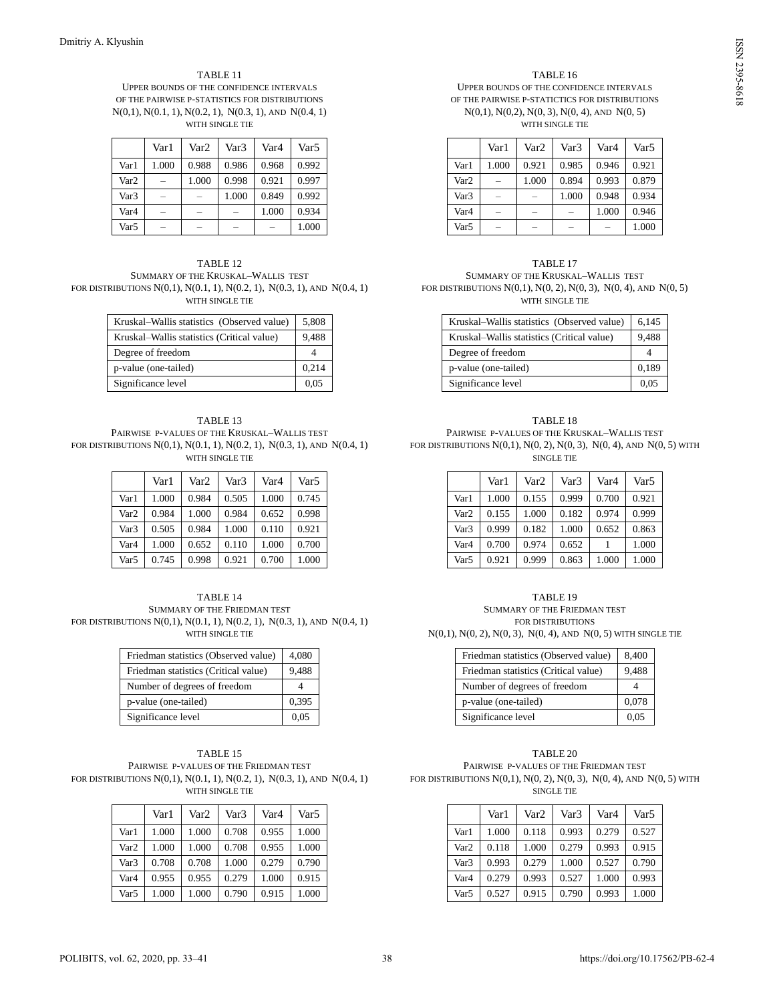#### TABLE 11 UPPER BOUNDS OF THE CONFIDENCE INTERVALS OF THE PAIRWISE P-STATISTICS FOR DISTRIBUTIONS N(0,1), N(0.1, 1), N(0.2, 1), N(0.3, 1), AND N(0.4, 1) WITH SINGLE TIE

|                  | Var 1 | Var2  | Var <sub>3</sub> | Var <sub>4</sub> | Var5  |
|------------------|-------|-------|------------------|------------------|-------|
| Var1             | 1.000 | 0.988 | 0.986            | 0.968            | 0.992 |
| Var <sub>2</sub> | -     | 1.000 | 0.998            | 0.921            | 0.997 |
| Var <sub>3</sub> | -     |       | 1.000            | 0.849            | 0.992 |
| Var4             | -     |       |                  | 1.000            | 0.934 |
| Var5             |       |       |                  |                  | 1.000 |

#### TABLE 12 SUMMARY OF THE KRUSKAL–WALLIS TEST FOR DISTRIBUTIONS N(0,1), N(0.1, 1), N(0.2, 1), N(0.3, 1), AND N(0.4, 1) WITH SINGLE TIE

| Kruskal-Wallis statistics (Observed value) | 5,808 |
|--------------------------------------------|-------|
| Kruskal-Wallis statistics (Critical value) | 9.488 |
| Degree of freedom                          |       |
| p-value (one-tailed)                       | 0,214 |
| Significance level                         | 0.05  |

#### TABLE 13 PAIRWISE P-VALUES OF THE KRUSKAL–WALLIS TEST FOR DISTRIBUTIONS N(0,1), N(0.1, 1), N(0.2, 1), N(0.3, 1), AND N(0.4, 1) WITH SINGLE TIE

|                  | Var1  | Var <sub>2</sub> | Var <sub>3</sub> | Var4  | Var <sub>5</sub> |
|------------------|-------|------------------|------------------|-------|------------------|
| Var1             | 1.000 | 0.984            | 0.505            | 1.000 | 0.745            |
| Var <sub>2</sub> | 0.984 | 1.000            | 0.984            | 0.652 | 0.998            |
| Var <sub>3</sub> | 0.505 | 0.984            | 1.000            | 0.110 | 0.921            |
| Var4             | 1.000 | 0.652            | 0.110            | 1.000 | 0.700            |
| Var5             | 0.745 | 0.998            | 0.921            | 0.700 | 1.000            |

TABLE 14 SUMMARY OF THE FRIEDMAN TEST FOR DISTRIBUTIONS N(0,1), N(0.1, 1), N(0.2, 1), N(0.3, 1), AND N(0.4, 1) WITH SINGLE TIE

| Friedman statistics (Observed value) | 4,080 |
|--------------------------------------|-------|
| Friedman statistics (Critical value) | 9,488 |
| Number of degrees of freedom         |       |
| p-value (one-tailed)                 | 0,395 |
| Significance level                   |       |

#### TABLE 15 PAIRWISE P-VALUES OF THE FRIEDMAN TEST FOR DISTRIBUTIONS N(0,1), N(0.1, 1), N(0.2, 1), N(0.3, 1), AND N(0.4, 1) WITH SINGLE TIE

|                  | Var1  | Var2  | Var3  | Var4  | Var <sub>5</sub> |
|------------------|-------|-------|-------|-------|------------------|
| Var1             | 1.000 | 1.000 | 0.708 | 0.955 | 1.000            |
| Var <sub>2</sub> | 1.000 | 1.000 | 0.708 | 0.955 | 1.000            |
| Var <sub>3</sub> | 0.708 | 0.708 | 1.000 | 0.279 | 0.790            |
| Var4             | 0.955 | 0.955 | 0.279 | 1.000 | 0.915            |
| Var5             | 1.000 | 1.000 | 0.790 | 0.915 | 1.000            |

#### TABLE 16

UPPER BOUNDS OF THE CONFIDENCE INTERVALS OF THE PAIRWISE P-STATICTICS FOR DISTRIBUTIONS N(0,1), N(0,2), N(0, 3), N(0, 4), AND N(0, 5)

WITH SINGLE TIE

|                  | Var 1                    | Var2  | Var3                     | Var <sub>4</sub>         | Var <sub>5</sub> |
|------------------|--------------------------|-------|--------------------------|--------------------------|------------------|
| Var1             | 1.000                    | 0.921 | 0.985                    | 0.946                    | 0.921            |
| Var <sub>2</sub> | -                        | 1.000 | 0.894                    | 0.993                    | 0.879            |
| Var <sub>3</sub> | -                        |       | 1.000                    | 0.948                    | 0.934            |
| Var <sub>4</sub> |                          |       |                          | 1.000                    | 0.946            |
| Var5             | $\overline{\phantom{a}}$ |       | $\overline{\phantom{a}}$ | $\overline{\phantom{a}}$ | 1.000            |

TABLE 17 SUMMARY OF THE KRUSKAL–WALLIS TEST FOR DISTRIBUTIONS  $N(0,1)$ ,  $N(0, 2)$ ,  $N(0, 3)$ ,  $N(0, 4)$ , AND  $N(0, 5)$ WITH SINGLE TIE

| Kruskal-Wallis statistics (Observed value) | 6.145 |
|--------------------------------------------|-------|
| Kruskal-Wallis statistics (Critical value) | 9,488 |
| Degree of freedom                          |       |
| p-value (one-tailed)                       | 0,189 |
| Significance level                         | 0,05  |

## TABLE 18 PAIRWISE P-VALUES OF THE KRUSKAL–WALLIS TEST FOR DISTRIBUTIONS N(0,1), N(0, 2), N(0, 3), N(0, 4), AND N(0, 5) WITH SINGLE TIE

|                  | Var1  | Var <sub>2</sub> | Var <sub>3</sub> | Var <sub>4</sub> | Var <sub>5</sub> |
|------------------|-------|------------------|------------------|------------------|------------------|
| Var1             | 1.000 | 0.155            | 0.999            | 0.700            | 0.921            |
| Var <sub>2</sub> | 0.155 | 1.000            | 0.182            | 0.974            | 0.999            |
| Var <sub>3</sub> | 0.999 | 0.182            | 1.000            | 0.652            | 0.863            |
| Var <sub>4</sub> | 0.700 | 0.974            | 0.652            |                  | 1.000            |
| Var <sub>5</sub> | 0.921 | 0.999            | 0.863            | 1.000            | 1.000            |

| TABLE <sub>19</sub>                                                                                                                  |
|--------------------------------------------------------------------------------------------------------------------------------------|
| SUMMARY OF THE FRIEDMAN TEST                                                                                                         |
| FOR DISTRIBUTIONS                                                                                                                    |
| $\mathcal{L}(0,1)$ $\mathcal{L}(0,0)$ $\mathcal{L}(0,0)$ $\mathcal{L}(0,1)$ $\mathcal{L}(0,1)$ $\mathcal{L}(0,0)$ $\mathcal{L}(0,0)$ |

N(0,1), N(0, 2), N(0, 3), N(0, 4), AND N(0, 5) WITH SINGLE TIE

| Friedman statistics (Observed value) | 8,400 |
|--------------------------------------|-------|
| Friedman statistics (Critical value) | 9,488 |
| Number of degrees of freedom         |       |
| p-value (one-tailed)                 | 0,078 |
| Significance level                   | 0.05  |

#### TABLE 20 PAIRWISE P-VALUES OF THE FRIEDMAN TEST FOR DISTRIBUTIONS  $N(0,1)$ ,  $N(0, 2)$ ,  $N(0, 3)$ ,  $N(0, 4)$ , AND  $N(0, 5)$  WITH SINGLE TIE

|                  | Var1  | Var <sub>2</sub> | Var <sub>3</sub> | Var4  | Var5  |
|------------------|-------|------------------|------------------|-------|-------|
| Var1             | 1.000 | 0.118            | 0.993            | 0.279 | 0.527 |
| Var <sub>2</sub> | 0.118 | 1.000            | 0.279            | 0.993 | 0.915 |
| Var <sub>3</sub> | 0.993 | 0.279            | 1.000            | 0.527 | 0.790 |
| Var <sub>4</sub> | 0.279 | 0.993            | 0.527            | 1.000 | 0.993 |
| Var <sub>5</sub> | 0.527 | 0.915            | 0.790            | 0.993 | 1.000 |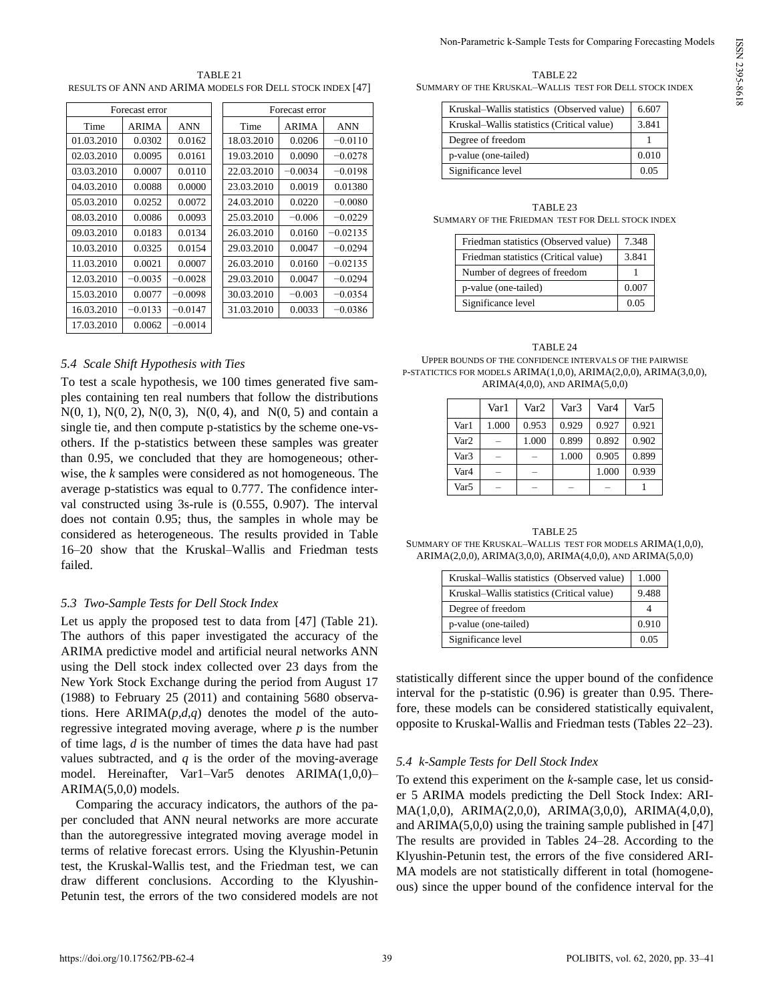| TABLE 21                                                  |
|-----------------------------------------------------------|
| RESULTS OF ANN AND ARIMA MODELS FOR DELL STOCK INDEX [47] |

| Forecast error |              |           |            | Forecast error |            |
|----------------|--------------|-----------|------------|----------------|------------|
| Time           | <b>ARIMA</b> | ANN       | Time       | ARIMA          | ANN        |
| 01.03.2010     | 0.0302       | 0.0162    | 18.03.2010 | 0.0206         | $-0.0110$  |
| 02.03.2010     | 0.0095       | 0.0161    | 19.03.2010 | 0.0090         | $-0.0278$  |
| 03.03.2010     | 0.0007       | 0.0110    | 22.03.2010 | $-0.0034$      | $-0.0198$  |
| 04.03.2010     | 0.0088       | 0.0000    | 23.03.2010 | 0.0019         | 0.01380    |
| 05.03.2010     | 0.0252       | 0.0072    | 24.03.2010 | 0.0220         | $-0.0080$  |
| 08.03.2010     | 0.0086       | 0.0093    | 25.03.2010 | $-0.006$       | $-0.0229$  |
| 09.03.2010     | 0.0183       | 0.0134    | 26.03.2010 | 0.0160         | $-0.02135$ |
| 10.03.2010     | 0.0325       | 0.0154    | 29.03.2010 | 0.0047         | $-0.0294$  |
| 11.03.2010     | 0.0021       | 0.0007    | 26.03.2010 | 0.0160         | $-0.02135$ |
| 12.03.2010     | $-0.0035$    | $-0.0028$ | 29.03.2010 | 0.0047         | $-0.0294$  |
| 15.03.2010     | 0.0077       | $-0.0098$ | 30.03.2010 | $-0.003$       | $-0.0354$  |
| 16.03.2010     | $-0.0133$    | $-0.0147$ | 31.03.2010 | 0.0033         | $-0.0386$  |
| 17.03.2010     | 0.0062       | $-0.0014$ |            |                |            |

# *5.4 Scale Shift Hypothesis with Ties*

To test a scale hypothesis, we 100 times generated five samples containing ten real numbers that follow the distributions  $N(0, 1)$ ,  $N(0, 2)$ ,  $N(0, 3)$ ,  $N(0, 4)$ , and  $N(0, 5)$  and contain a single tie, and then compute p-statistics by the scheme one-vsothers. If the p-statistics between these samples was greater than 0.95, we concluded that they are homogeneous; otherwise, the *k* samples were considered as not homogeneous. The average p-statistics was equal to 0.777. The confidence interval constructed using 3s-rule is (0.555, 0.907). The interval does not contain 0.95; thus, the samples in whole may be considered as heterogeneous. The results provided in Table 16–20 show that the Kruskal–Wallis and Friedman tests failed.

# *5.3 Two-Sample Tests for Dell Stock Index*

Let us apply the proposed test to data from [47] (Table 21). The authors of this paper investigated the accuracy of the ARIMA predictive model and artificial neural networks ANN using the Dell stock index collected over 23 days from the New York Stock Exchange during the period from August 17 (1988) to February 25 (2011) and containing 5680 observations. Here  $ARIMA(p,d,q)$  denotes the model of the autoregressive integrated moving average, where *p* is the number of time lags, *d* is the number of times the data have had past values subtracted, and *q* is the order of the [moving-average](https://en.wikipedia.org/wiki/Moving-average_model)  [model.](https://en.wikipedia.org/wiki/Moving-average_model) Hereinafter, Var1–Var5 denotes ARIMA(1,0,0)– ARIMA(5,0,0) models.

Comparing the accuracy indicators, the authors of the paper concluded that ANN neural networks are more accurate than the autoregressive integrated moving average model in terms of relative forecast errors. Using the Klyushin-Petunin test, the Kruskal-Wallis test, and the Friedman test, we can draw different conclusions. According to the Klyushin-Petunin test, the errors of the two considered models are not

| TABLE <sub>22</sub>                                     |  |  |  |  |  |
|---------------------------------------------------------|--|--|--|--|--|
| SUMMARY OF THE KRUSKAL–WALLIS TEST FOR DELL STOCK INDEX |  |  |  |  |  |

| Kruskal-Wallis statistics (Observed value) | 6.607 |
|--------------------------------------------|-------|
| Kruskal–Wallis statistics (Critical value) | 3.841 |
| Degree of freedom                          |       |
| p-value (one-tailed)                       | 0.010 |
| Significance level                         | 0.05  |

| TABLE 23 |                                                   |
|----------|---------------------------------------------------|
|          | SUMMARY OF THE FRIEDMAN TEST FOR DELL STOCK INDEX |

| Friedman statistics (Observed value) | 7.348 |
|--------------------------------------|-------|
| Friedman statistics (Critical value) | 3.841 |
| Number of degrees of freedom         |       |
| p-value (one-tailed)                 | 0.007 |
| Significance level                   | 0.05  |

| TABLE 24                                                                      |
|-------------------------------------------------------------------------------|
| UPPER BOUNDS OF THE CONFIDENCE INTERVALS OF THE PAIRWISE                      |
| P-STATICTICS FOR MODELS ARIMA $(1,0,0)$ , ARIMA $(2,0,0)$ , ARIMA $(3,0,0)$ , |
| $ARIMA(4.0.0)$ , AND $ARIMA(5.0.0)$                                           |

|                  | Var1  | Var <sub>2</sub> | Var3  | Var <sub>4</sub> | Var <sub>5</sub> |
|------------------|-------|------------------|-------|------------------|------------------|
| Var1             | 1.000 | 0.953            | 0.929 | 0.927            | 0.921            |
| Var <sub>2</sub> |       | 1.000            | 0.899 | 0.892            | 0.902            |
| Var <sub>3</sub> |       |                  | 1.000 | 0.905            | 0.899            |
| Var <sub>4</sub> |       |                  |       | 1.000            | 0.939            |
| Var <sub>5</sub> |       |                  |       |                  |                  |

TABLE 25 SUMMARY OF THE KRUSKAL–WALLIS TEST FOR MODELS ARIMA(1,0,0), ARIMA(2,0,0), ARIMA(3,0,0), ARIMA(4,0,0), AND ARIMA(5,0,0)

| Kruskal-Wallis statistics (Observed value) | 1.000 |
|--------------------------------------------|-------|
| Kruskal-Wallis statistics (Critical value) | 9.488 |
| Degree of freedom                          |       |
| p-value (one-tailed)                       | 0.910 |
| Significance level                         | 0.05  |

statistically different since the upper bound of the confidence interval for the p-statistic (0.96) is greater than 0.95. Therefore, these models can be considered statistically equivalent, opposite to Kruskal-Wallis and Friedman tests (Tables 22–23).

# *5.4 k-Sample Tests for Dell Stock Index*

To extend this experiment on the *k*-sample case, let us consider 5 ARIMA models predicting the Dell Stock Index: ARI-MA(1,0,0), ARIMA(2,0,0), ARIMA(3,0,0), ARIMA(4,0,0), and  $ARIMA(5,0,0)$  using the training sample published in [47] The results are provided in Tables 24–28. According to the Klyushin-Petunin test, the errors of the five considered ARI-MA models are not statistically different in total (homogeneous) since the upper bound of the confidence interval for the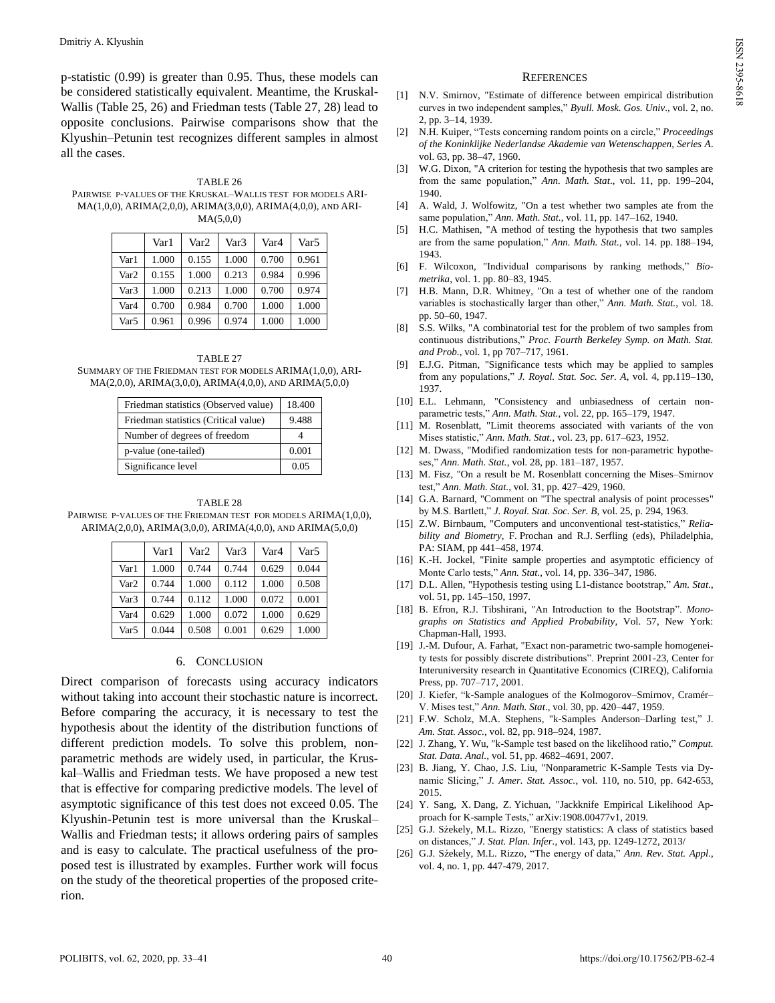p-statistic (0.99) is greater than 0.95. Thus, these models can be considered statistically equivalent. Meantime, the Kruskal-Wallis (Table 25, 26) and Friedman tests (Table 27, 28) lead to opposite conclusions. Pairwise comparisons show that the Klyushin–Petunin test recognizes different samples in almost all the cases.

TABLE 26 PAIRWISE P-VALUES OF THE KRUSKAL–WALLIS TEST FOR MODELS ARI-MA(1,0,0), ARIMA(2,0,0), ARIMA(3,0,0), ARIMA(4,0,0), AND ARI- $MA(5,0,0)$ 

|                  | Var1  | Var2  | Var3  | Var <sub>4</sub> | Var5  |
|------------------|-------|-------|-------|------------------|-------|
| Var1             | 1.000 | 0.155 | 1.000 | 0.700            | 0.961 |
| Var <sub>2</sub> | 0.155 | 1.000 | 0.213 | 0.984            | 0.996 |
| Var3             | 1.000 | 0.213 | 1.000 | 0.700            | 0.974 |
| Var4             | 0.700 | 0.984 | 0.700 | 1.000            | 1.000 |
| Var5             | 0.961 | 0.996 | 0.974 | 1.000            | 1.000 |

TABLE 27 SUMMARY OF THE FRIEDMAN TEST FOR MODELS ARIMA(1,0,0), ARI-MA(2,0,0), ARIMA(3,0,0), ARIMA(4,0,0), AND ARIMA(5,0,0)

| Friedman statistics (Observed value) | 18.400 |
|--------------------------------------|--------|
| Friedman statistics (Critical value) | 9.488  |
| Number of degrees of freedom         |        |
| p-value (one-tailed)                 | 0.001  |
| Significance level                   | 0.05   |

TABLE 28 PAIRWISE P-VALUES OF THE FRIEDMAN TEST FOR MODELS ARIMA(1,0,0). ARIMA(2,0,0), ARIMA(3,0,0), ARIMA(4,0,0), AND ARIMA(5,0,0)

|                  | Var 1 | Var <sub>2</sub> | Var3  | Var4  | Var5  |
|------------------|-------|------------------|-------|-------|-------|
| Var1             | 1.000 | 0.744            | 0.744 | 0.629 | 0.044 |
| Var <sub>2</sub> | 0.744 | 1.000            | 0.112 | 1.000 | 0.508 |
| Var <sub>3</sub> | 0.744 | 0.112            | 1.000 | 0.072 | 0.001 |
| Var <sub>4</sub> | 0.629 | 1.000            | 0.072 | 1.000 | 0.629 |
| Var <sub>5</sub> | 0.044 | 0.508            | 0.001 | 0.629 | 1.000 |

# 6. CONCLUSION

Direct comparison of forecasts using accuracy indicators without taking into account their stochastic nature is incorrect. Before comparing the accuracy, it is necessary to test the hypothesis about the identity of the distribution functions of different prediction models. To solve this problem, nonparametric methods are widely used, in particular, the Kruskal–Wallis and Friedman tests. We have proposed a new test that is effective for comparing predictive models. The level of asymptotic significance of this test does not exceed 0.05. The Klyushin-Petunin test is more universal than the Kruskal– Wallis and Friedman tests; it allows ordering pairs of samples and is easy to calculate. The practical usefulness of the proposed test is illustrated by examples. Further work will focus on the study of the theoretical properties of the proposed criterion.

#### **REFERENCES**

- [1] N.V. Smirnov, "Estimate of difference between empirical distribution curves in two independent samples," Byull. Mosk. Gos. Univ., vol. 2, no. 2, pp. 3–14, 1939.
- [2] N.H[. Kuiper,](https://en.wikipedia.org/wiki/Nicolaas_Kuiper) "Tests concerning random points on a circle," Proceedings *of the Koninklijke Nederlandse Akademie van Wetenschappen, Series A*. vol. 63, pp. 38–47, 1960.
- [3] W.G. Dixon, "A criterion for testing the hypothesis that two samples are from the same population," Ann. Math. Stat., vol. 11, pp. 199-204, 1940.
- [4] A. Wald, J. Wolfowitz, "On a test whether two samples ate from the same population," *Ann. Math. Stat.*, vol. 11, pp. 147-162, 1940.
- [5] H.C. Mathisen, "A method of testing the hypothesis that two samples are from the same population," Ann. Math. Stat., vol. 14. pp. 188-194, 1943.
- [6] F. Wilcoxon, "Individual comparisons by ranking methods," Bio*metrika*, vol. 1. pp. 80–83, 1945.
- [7] H.B. Mann, D.R. Whitney, "On a test of whether one of the random variables is stochastically larger than other," Ann. Math. Stat., vol. 18. pp. 50–60, 1947.
- [8] S.S. Wilks, "A combinatorial test for the problem of two samples from continuous distributions," Proc. Fourth Berkeley Symp. on Math. Stat. *and Prob.*, vol. 1, pp 707–717, 1961.
- [9] E.J.G. Pitman, "Significance tests which may be applied to samples from any populations," *J. Royal. Stat. Soc. Ser. A*, vol. 4, pp.119-130, 1937.
- [10] E.L. Lehmann, "Consistency and unbiasedness of certain nonparametric tests," Ann. Math. Stat., vol. 22, pp. 165-179, 1947.
- [11] M. Rosenblatt, "Limit theorems associated with variants of the von Mises statistic," *Ann. Math. Stat.*, vol. 23, pp. 617–623, 1952.
- [12] M. Dwass, "Modified randomization tests for non-parametric hypotheses," Ann. Math. Stat., vol. 28, pp. 181-187, 1957.
- [13] M. Fisz, "On a result be M. Rosenblatt concerning the Mises–Smirnov test," Ann. Math. Stat., vol. 31, pp. 427-429, 1960.
- [14] G.A. Barnard, "Comment on "The spectral analysis of point processes" by M.S. Bartlett," *J. Royal. Stat. Soc. Ser. B*, vol. 25, p. 294, 1963.
- [15] Z.W. Birnbaum, "Computers and unconventional test-statistics," Relia*bility and Biometry*, F. Prochan and R.J. Serfling (eds), Philadelphia, PA: SIAM, pp 441–458, 1974.
- [16] K.-H. Jockel, "Finite sample properties and asymptotic efficiency of Monte Carlo tests," Ann. Stat., vol. 14, pp. 336-347, 1986.
- [17] D.L. Allen, "Hypothesis testing using L1-distance bootstrap," *Am. Stat.*, vol. 51, pp. 145–150, 1997.
- [18] B. Efron, R.J. Tibshirani, "An Introduction to the Bootstrap". Mono*graphs on Statistics and Applied Probability*, Vol. 57, New York: Chapman-Hall, 1993.
- [19] J.-M. Dufour, A. Farhat, "Exact non-parametric two-sample homogeneity tests for possibly discrete distributions". Preprint 2001-23, Center for Interuniversity research in Quantitative Economics (CIREQ), California Press, pp. 707–717, 2001.
- [20] J. Kiefer, "k-Sample analogues of the Kolmogorov–Smirnov, Cramér– V. Mises test,ˮ *Ann. Math. Stat*., vol. 30, pp. 420–447, 1959.
- [21] F.W. Scholz, M.A. Stephens, "k-Samples Anderson-Darling test," J. *Am. Stat. Assoc.*, vol. 82, pp. 918–924, 1987.
- [22] J. Zhang, Y. Wu, "k-Sample test based on the likelihood ratio," *Comput*. *Stat. Data. Anal.*, vol. 51, pp. 4682–4691, 2007.
- [23] B. Jiang, Y. Chao, J.S. Liu, "Nonparametric K-Sample Tests via Dynamic Slicing," *J. Amer. Stat. Assoc.*, vol. 110, no. 510, pp. 642-653, 2015.
- [24] Y. Sang, X. Dang, Z. Yichuan, "Jackknife Empirical Likelihood Approach for K-sample Tests," [arXiv:1908.00477v1,](https://arxiv.org/abs/1908.00477v1) 2019.
- [25] G.J. Sźekely, M.L. Rizzo, "Energy statistics: A class of statistics based on distances,ˮ *J. Stat. Plan. Infer.*, vol. 143, pp. 1249-1272, 2013/
- [26] G.J. Sźekely, M.L. Rizzo, "The energy of data," Ann. Rev. Stat. Appl., vol. 4, no. 1, pp. 447-479, 2017.